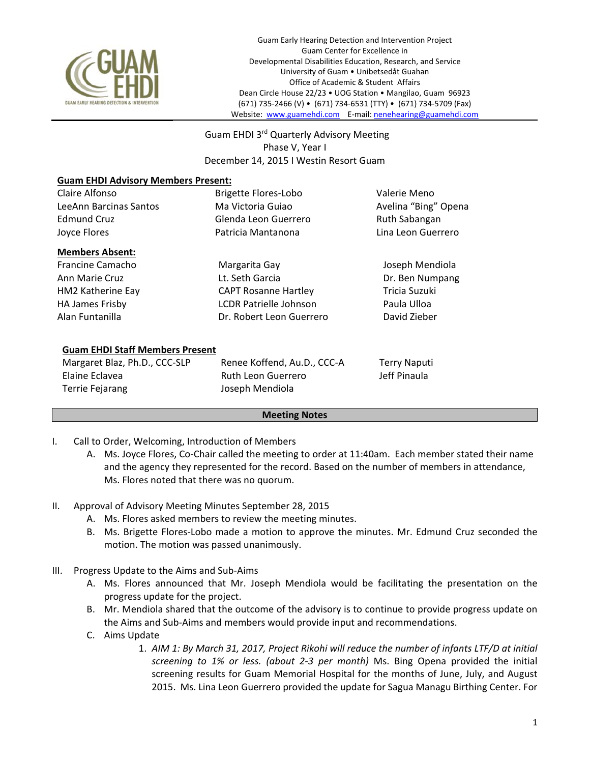

 Guam EHDI 3rd Quarterly Advisory Meeting Phase V, Year I December 14, 2015 I Westin Resort Guam

## **Guam EHDI Advisory Members Present:**

| Claire Alfonso                         | <b>Brigette Flores-Lobo</b>   | Valerie Meno         |
|----------------------------------------|-------------------------------|----------------------|
| LeeAnn Barcinas Santos                 | Ma Victoria Guiao             | Avelina "Bing" Opena |
| <b>Edmund Cruz</b>                     | Glenda Leon Guerrero          | Ruth Sabangan        |
| Joyce Flores                           | Patricia Mantanona            | Lina Leon Guerrero   |
| <b>Members Absent:</b>                 |                               |                      |
| Francine Camacho                       | Margarita Gay                 | Joseph Mendiola      |
| Ann Marie Cruz                         | Lt. Seth Garcia               | Dr. Ben Numpang      |
| HM2 Katherine Eay                      | <b>CAPT Rosanne Hartley</b>   | Tricia Suzuki        |
| <b>HA James Frisby</b>                 | <b>LCDR Patrielle Johnson</b> | Paula Ulloa          |
| Alan Funtanilla                        | Dr. Robert Leon Guerrero      | David Zieber         |
|                                        |                               |                      |
| <b>Guam EHDI Staff Members Present</b> |                               |                      |
| Margaret Blaz, Ph.D., CCC-SLP          | Renee Koffend, Au.D., CCC-A   | <b>Terry Naputi</b>  |
| Elaine Eclavea                         | Ruth Leon Guerrero            | Jeff Pinaula         |
| <b>Terrie Fejarang</b>                 | Joseph Mendiola               |                      |

## **Meeting Notes**

- I. Call to Order, Welcoming, Introduction of Members
	- A. Ms. Joyce Flores, Co‐Chair called the meeting to order at 11:40am. Each member stated their name and the agency they represented for the record. Based on the number of members in attendance, Ms. Flores noted that there was no quorum.
- II. Approval of Advisory Meeting Minutes September 28, 2015
	- A. Ms. Flores asked members to review the meeting minutes.
	- B. Ms. Brigette Flores-Lobo made a motion to approve the minutes. Mr. Edmund Cruz seconded the motion. The motion was passed unanimously.
- III. Progress Update to the Aims and Sub‐Aims
	- A. Ms. Flores announced that Mr. Joseph Mendiola would be facilitating the presentation on the progress update for the project.
	- B. Mr. Mendiola shared that the outcome of the advisory is to continue to provide progress update on the Aims and Sub‐Aims and members would provide input and recommendations.
	- C. Aims Update
		- 1. *AIM 1: By March 31, 2017, Project Rikohi will reduce the number of infants LTF/D at initial screening to 1% or less. (about 2‐3 per month)*  Ms. Bing Opena provided the initial screening results for Guam Memorial Hospital for the months of June, July, and August 2015. Ms. Lina Leon Guerrero provided the update for Sagua Managu Birthing Center. For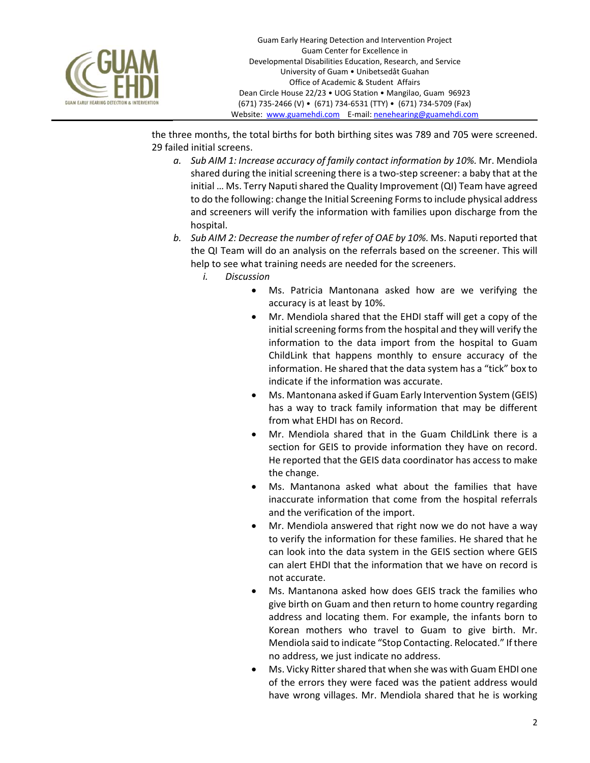

the three months, the total births for both birthing sites was 789 and 705 were screened. 29 failed initial screens.

- *a. Sub AIM 1: Increase accuracy of family contact information by 10%.* Mr. Mendiola shared during the initial screening there is a two-step screener: a baby that at the initial … Ms. Terry Naputi shared the Quality Improvement (QI) Team have agreed to do the following: change the Initial Screening Forms to include physical address and screeners will verify the information with families upon discharge from the hospital.
- *b. Sub AIM 2: Decrease the number of refer of OAE by 10%.* Ms. Naputi reported that the QI Team will do an analysis on the referrals based on the screener. This will help to see what training needs are needed for the screeners.
	- *i. Discussion* 
		- Ms. Patricia Mantonana asked how are we verifying the accuracy is at least by 10%.
		- Mr. Mendiola shared that the EHDI staff will get a copy of the initial screening forms from the hospital and they will verify the information to the data import from the hospital to Guam ChildLink that happens monthly to ensure accuracy of the information. He shared that the data system has a "tick" box to indicate if the information was accurate.
		- Ms. Mantonana asked if Guam Early Intervention System (GEIS) has a way to track family information that may be different from what EHDI has on Record.
		- Mr. Mendiola shared that in the Guam ChildLink there is a section for GEIS to provide information they have on record. He reported that the GEIS data coordinator has access to make the change.
		- Ms. Mantanona asked what about the families that have inaccurate information that come from the hospital referrals and the verification of the import.
		- Mr. Mendiola answered that right now we do not have a way to verify the information for these families. He shared that he can look into the data system in the GEIS section where GEIS can alert EHDI that the information that we have on record is not accurate.
		- Ms. Mantanona asked how does GEIS track the families who give birth on Guam and then return to home country regarding address and locating them. For example, the infants born to Korean mothers who travel to Guam to give birth. Mr. Mendiola said to indicate "Stop Contacting. Relocated." If there no address, we just indicate no address.
		- Ms. Vicky Ritter shared that when she was with Guam EHDI one of the errors they were faced was the patient address would have wrong villages. Mr. Mendiola shared that he is working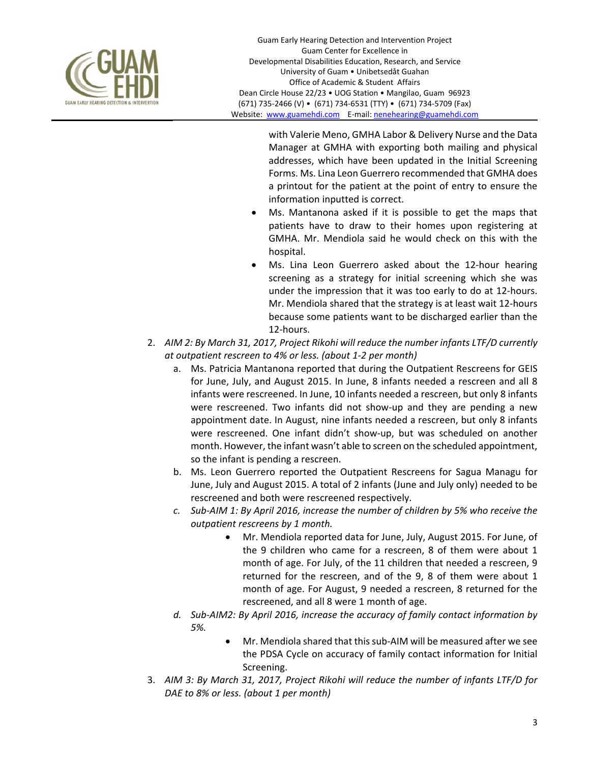

with Valerie Meno, GMHA Labor & Delivery Nurse and the Data Manager at GMHA with exporting both mailing and physical addresses, which have been updated in the Initial Screening Forms. Ms. Lina Leon Guerrero recommended that GMHA does a printout for the patient at the point of entry to ensure the information inputted is correct.

- Ms. Mantanona asked if it is possible to get the maps that patients have to draw to their homes upon registering at GMHA. Mr. Mendiola said he would check on this with the hospital.
- Ms. Lina Leon Guerrero asked about the 12‐hour hearing screening as a strategy for initial screening which she was under the impression that it was too early to do at 12‐hours. Mr. Mendiola shared that the strategy is at least wait 12‐hours because some patients want to be discharged earlier than the 12‐hours.
- 2. *AIM 2: By March 31, 2017, Project Rikohi will reduce the number infants LTF/D currently at outpatient rescreen to 4% or less. (about 1‐2 per month)* 
	- a. Ms. Patricia Mantanona reported that during the Outpatient Rescreens for GEIS for June, July, and August 2015. In June, 8 infants needed a rescreen and all 8 infants were rescreened. In June, 10 infants needed a rescreen, but only 8 infants were rescreened. Two infants did not show-up and they are pending a new appointment date. In August, nine infants needed a rescreen, but only 8 infants were rescreened. One infant didn't show-up, but was scheduled on another month. However, the infant wasn't able to screen on the scheduled appointment, so the infant is pending a rescreen.
	- b. Ms. Leon Guerrero reported the Outpatient Rescreens for Sagua Managu for June, July and August 2015. A total of 2 infants (June and July only) needed to be rescreened and both were rescreened respectively.
	- *c. Sub‐AIM 1: By April 2016, increase the number of children by 5% who receive the outpatient rescreens by 1 month.* 
		- Mr. Mendiola reported data for June, July, August 2015. For June, of the 9 children who came for a rescreen, 8 of them were about 1 month of age. For July, of the 11 children that needed a rescreen, 9 returned for the rescreen, and of the 9, 8 of them were about 1 month of age. For August, 9 needed a rescreen, 8 returned for the rescreened, and all 8 were 1 month of age.
	- *d. Sub‐AIM2: By April 2016, increase the accuracy of family contact information by 5%.* 
		- Mr. Mendiola shared that this sub‐AIM will be measured after we see the PDSA Cycle on accuracy of family contact information for Initial Screening.
- 3. *AIM 3: By March 31, 2017, Project Rikohi will reduce the number of infants LTF/D for DAE to 8% or less. (about 1 per month)*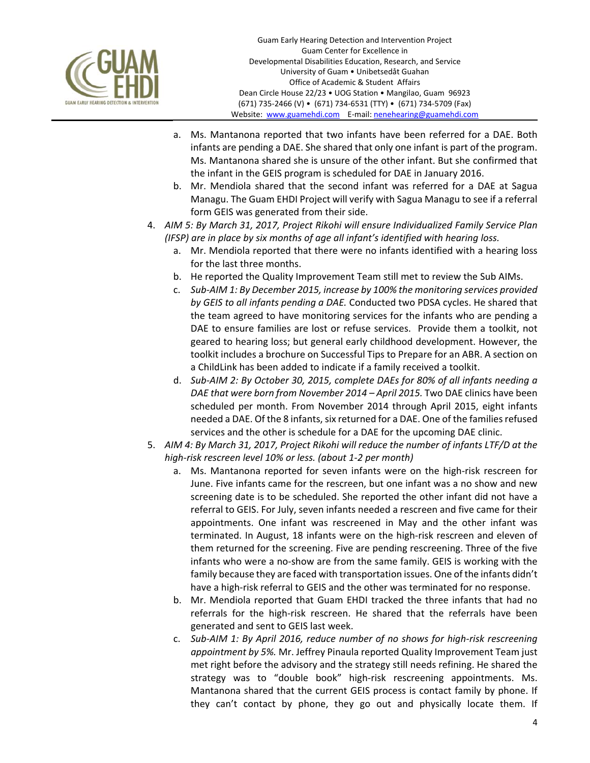

- a. Ms. Mantanona reported that two infants have been referred for a DAE. Both infants are pending a DAE. She shared that only one infant is part of the program. Ms. Mantanona shared she is unsure of the other infant. But she confirmed that the infant in the GEIS program is scheduled for DAE in January 2016.
- b. Mr. Mendiola shared that the second infant was referred for a DAE at Sagua Managu. The Guam EHDI Project will verify with Sagua Managu to see if a referral form GEIS was generated from their side.
- 4. *AIM 5: By March 31, 2017, Project Rikohi will ensure Individualized Family Service Plan (IFSP) are in place by six months of age all infant's identified with hearing loss.* 
	- a. Mr. Mendiola reported that there were no infants identified with a hearing loss for the last three months.
	- b. He reported the Quality Improvement Team still met to review the Sub AIMs.
	- c. *Sub‐AIM 1: By December 2015, increase by 100% the monitoring services provided by GEIS to all infants pending a DAE.* Conducted two PDSA cycles. He shared that the team agreed to have monitoring services for the infants who are pending a DAE to ensure families are lost or refuse services. Provide them a toolkit, not geared to hearing loss; but general early childhood development. However, the toolkit includes a brochure on Successful Tips to Prepare for an ABR. A section on a ChildLink has been added to indicate if a family received a toolkit.
	- d. *Sub‐AIM 2: By October 30, 2015, complete DAEs for 80% of all infants needing a DAE that were born from November 2014 – April 2015.* Two DAE clinics have been scheduled per month. From November 2014 through April 2015, eight infants needed a DAE. Of the 8 infants, six returned for a DAE. One of the families refused services and the other is schedule for a DAE for the upcoming DAE clinic.
- 5. *AIM 4: By March 31, 2017, Project Rikohi will reduce the number of infants LTF/D at the high‐risk rescreen level 10% or less. (about 1‐2 per month)* 
	- a. Ms. Mantanona reported for seven infants were on the high-risk rescreen for June. Five infants came for the rescreen, but one infant was a no show and new screening date is to be scheduled. She reported the other infant did not have a referral to GEIS. For July, seven infants needed a rescreen and five came for their appointments. One infant was rescreened in May and the other infant was terminated. In August, 18 infants were on the high‐risk rescreen and eleven of them returned for the screening. Five are pending rescreening. Three of the five infants who were a no‐show are from the same family. GEIS is working with the family because they are faced with transportation issues. One of the infants didn't have a high-risk referral to GEIS and the other was terminated for no response.
	- b. Mr. Mendiola reported that Guam EHDI tracked the three infants that had no referrals for the high-risk rescreen. He shared that the referrals have been generated and sent to GEIS last week.
	- c. *Sub‐AIM 1: By April 2016, reduce number of no shows for high‐risk rescreening appointment by 5%.* Mr. Jeffrey Pinaula reported Quality Improvement Team just met right before the advisory and the strategy still needs refining. He shared the strategy was to "double book" high-risk rescreening appointments. Ms. Mantanona shared that the current GEIS process is contact family by phone. If they can't contact by phone, they go out and physically locate them. If